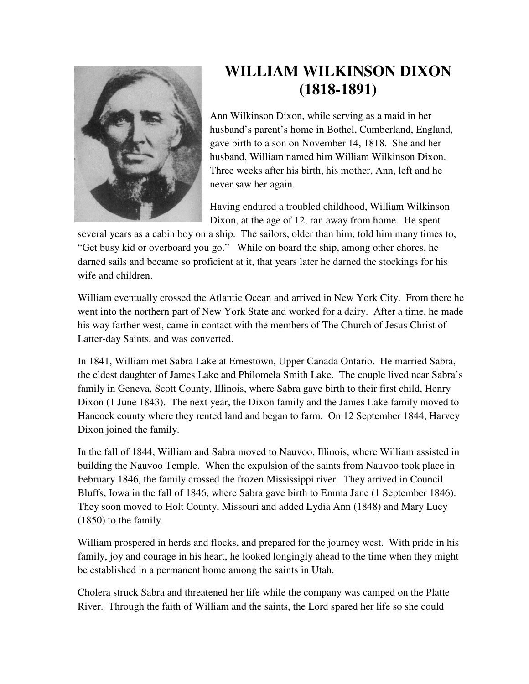

## **WILLIAM WILKINSON DIXON (1818-1891)**

Ann Wilkinson Dixon, while serving as a maid in her husband's parent's home in Bothel, Cumberland, England, gave birth to a son on November 14, 1818. She and her husband, William named him William Wilkinson Dixon. Three weeks after his birth, his mother, Ann, left and he never saw her again.

Having endured a troubled childhood, William Wilkinson Dixon, at the age of 12, ran away from home. He spent

several years as a cabin boy on a ship. The sailors, older than him, told him many times to, "Get busy kid or overboard you go." While on board the ship, among other chores, he darned sails and became so proficient at it, that years later he darned the stockings for his wife and children.

William eventually crossed the Atlantic Ocean and arrived in New York City. From there he went into the northern part of New York State and worked for a dairy. After a time, he made his way farther west, came in contact with the members of The Church of Jesus Christ of Latter-day Saints, and was converted.

In 1841, William met Sabra Lake at Ernestown, Upper Canada Ontario. He married Sabra, the eldest daughter of James Lake and Philomela Smith Lake. The couple lived near Sabra's family in Geneva, Scott County, Illinois, where Sabra gave birth to their first child, Henry Dixon (1 June 1843). The next year, the Dixon family and the James Lake family moved to Hancock county where they rented land and began to farm. On 12 September 1844, Harvey Dixon joined the family.

In the fall of 1844, William and Sabra moved to Nauvoo, Illinois, where William assisted in building the Nauvoo Temple. When the expulsion of the saints from Nauvoo took place in February 1846, the family crossed the frozen Mississippi river. They arrived in Council Bluffs, Iowa in the fall of 1846, where Sabra gave birth to Emma Jane (1 September 1846). They soon moved to Holt County, Missouri and added Lydia Ann (1848) and Mary Lucy (1850) to the family.

William prospered in herds and flocks, and prepared for the journey west. With pride in his family, joy and courage in his heart, he looked longingly ahead to the time when they might be established in a permanent home among the saints in Utah.

Cholera struck Sabra and threatened her life while the company was camped on the Platte River. Through the faith of William and the saints, the Lord spared her life so she could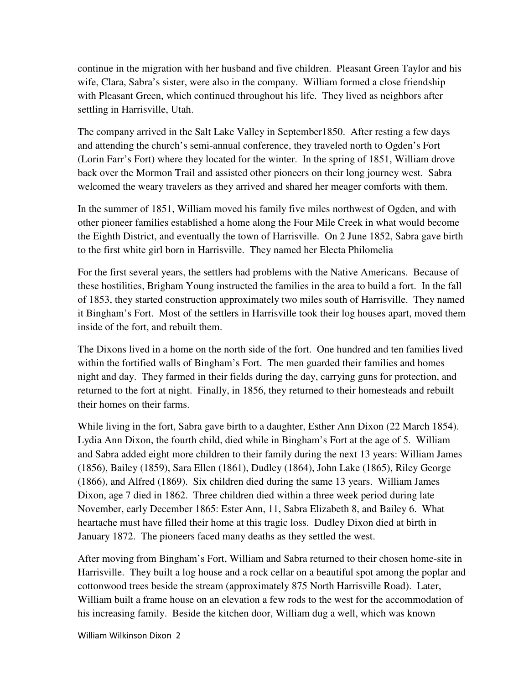continue in the migration with her husband and five children. Pleasant Green Taylor and his wife, Clara, Sabra's sister, were also in the company. William formed a close friendship with Pleasant Green, which continued throughout his life. They lived as neighbors after settling in Harrisville, Utah.

The company arrived in the Salt Lake Valley in September1850. After resting a few days and attending the church's semi-annual conference, they traveled north to Ogden's Fort (Lorin Farr's Fort) where they located for the winter. In the spring of 1851, William drove back over the Mormon Trail and assisted other pioneers on their long journey west. Sabra welcomed the weary travelers as they arrived and shared her meager comforts with them.

In the summer of 1851, William moved his family five miles northwest of Ogden, and with other pioneer families established a home along the Four Mile Creek in what would become the Eighth District, and eventually the town of Harrisville. On 2 June 1852, Sabra gave birth to the first white girl born in Harrisville. They named her Electa Philomelia

For the first several years, the settlers had problems with the Native Americans. Because of these hostilities, Brigham Young instructed the families in the area to build a fort. In the fall of 1853, they started construction approximately two miles south of Harrisville. They named it Bingham's Fort. Most of the settlers in Harrisville took their log houses apart, moved them inside of the fort, and rebuilt them.

The Dixons lived in a home on the north side of the fort. One hundred and ten families lived within the fortified walls of Bingham's Fort. The men guarded their families and homes night and day. They farmed in their fields during the day, carrying guns for protection, and returned to the fort at night. Finally, in 1856, they returned to their homesteads and rebuilt their homes on their farms.

While living in the fort, Sabra gave birth to a daughter, Esther Ann Dixon (22 March 1854). Lydia Ann Dixon, the fourth child, died while in Bingham's Fort at the age of 5. William and Sabra added eight more children to their family during the next 13 years: William James (1856), Bailey (1859), Sara Ellen (1861), Dudley (1864), John Lake (1865), Riley George (1866), and Alfred (1869). Six children died during the same 13 years. William James Dixon, age 7 died in 1862. Three children died within a three week period during late November, early December 1865: Ester Ann, 11, Sabra Elizabeth 8, and Bailey 6. What heartache must have filled their home at this tragic loss. Dudley Dixon died at birth in January 1872. The pioneers faced many deaths as they settled the west.

After moving from Bingham's Fort, William and Sabra returned to their chosen home-site in Harrisville. They built a log house and a rock cellar on a beautiful spot among the poplar and cottonwood trees beside the stream (approximately 875 North Harrisville Road). Later, William built a frame house on an elevation a few rods to the west for the accommodation of his increasing family. Beside the kitchen door, William dug a well, which was known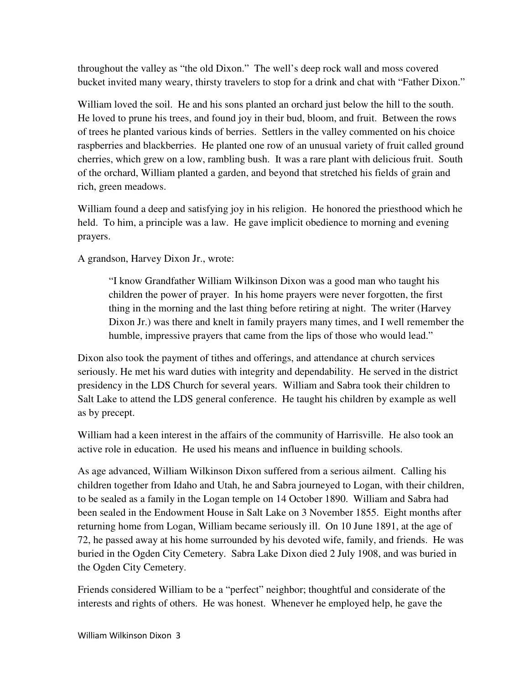throughout the valley as "the old Dixon." The well's deep rock wall and moss covered bucket invited many weary, thirsty travelers to stop for a drink and chat with "Father Dixon."

William loved the soil. He and his sons planted an orchard just below the hill to the south. He loved to prune his trees, and found joy in their bud, bloom, and fruit. Between the rows of trees he planted various kinds of berries. Settlers in the valley commented on his choice raspberries and blackberries. He planted one row of an unusual variety of fruit called ground cherries, which grew on a low, rambling bush. It was a rare plant with delicious fruit. South of the orchard, William planted a garden, and beyond that stretched his fields of grain and rich, green meadows.

William found a deep and satisfying joy in his religion. He honored the priesthood which he held. To him, a principle was a law. He gave implicit obedience to morning and evening prayers.

A grandson, Harvey Dixon Jr., wrote:

"I know Grandfather William Wilkinson Dixon was a good man who taught his children the power of prayer. In his home prayers were never forgotten, the first thing in the morning and the last thing before retiring at night. The writer (Harvey Dixon Jr.) was there and knelt in family prayers many times, and I well remember the humble, impressive prayers that came from the lips of those who would lead."

Dixon also took the payment of tithes and offerings, and attendance at church services seriously. He met his ward duties with integrity and dependability. He served in the district presidency in the LDS Church for several years. William and Sabra took their children to Salt Lake to attend the LDS general conference. He taught his children by example as well as by precept.

William had a keen interest in the affairs of the community of Harrisville. He also took an active role in education. He used his means and influence in building schools.

As age advanced, William Wilkinson Dixon suffered from a serious ailment. Calling his children together from Idaho and Utah, he and Sabra journeyed to Logan, with their children, to be sealed as a family in the Logan temple on 14 October 1890. William and Sabra had been sealed in the Endowment House in Salt Lake on 3 November 1855. Eight months after returning home from Logan, William became seriously ill. On 10 June 1891, at the age of 72, he passed away at his home surrounded by his devoted wife, family, and friends. He was buried in the Ogden City Cemetery. Sabra Lake Dixon died 2 July 1908, and was buried in the Ogden City Cemetery.

Friends considered William to be a "perfect" neighbor; thoughtful and considerate of the interests and rights of others. He was honest. Whenever he employed help, he gave the